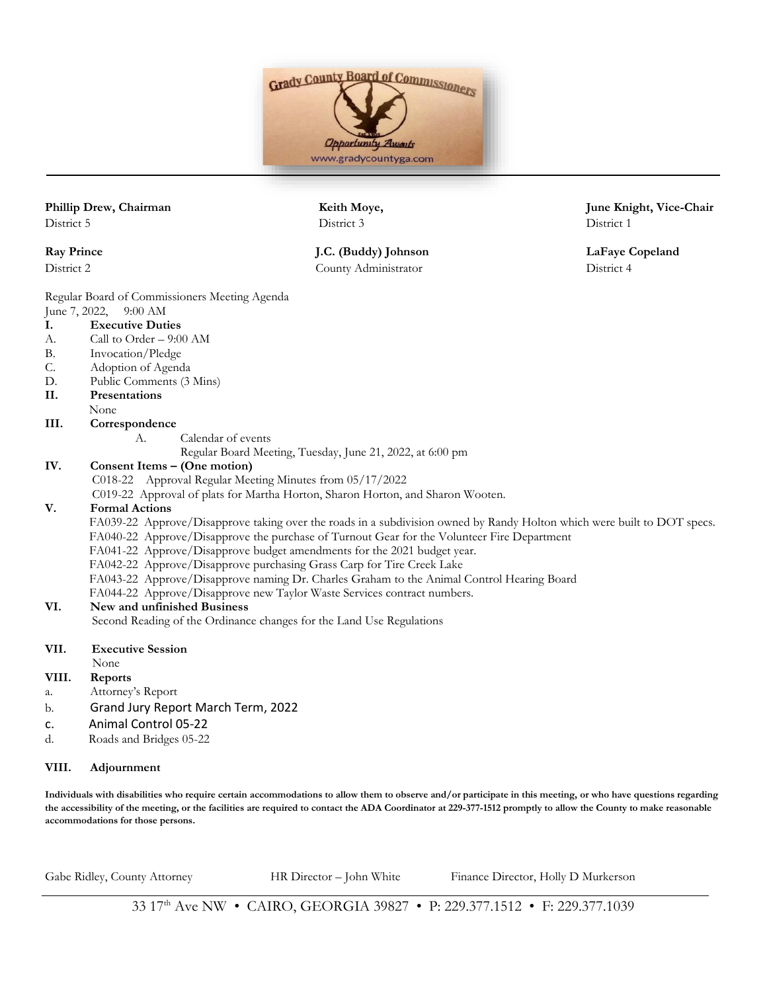

District 5 District 3 District 1

Regular Board of Commissioners Meeting Agenda

- June 7, 2022, 9:00 AM
- **I. Executive Duties**
- A. Call to Order 9:00 AM
- B. Invocation/Pledge
- C. Adoption of Agenda
- D. Public Comments (3 Mins)
- **II. Presentations**
- None

#### **III. Correspondence**

- A. Calendar of events
	- Regular Board Meeting, Tuesday, June 21, 2022, at 6:00 pm

### **IV. Consent Items – (One motion)**

- C018-22 Approval Regular Meeting Minutes from 05/17/2022
- C019-22 Approval of plats for Martha Horton, Sharon Horton, and Sharon Wooten.

## **V. Formal Actions**

- FA039-22 Approve/Disapprove taking over the roads in a subdivision owned by Randy Holton which were built to DOT specs.
- FA040-22 Approve/Disapprove the purchase of Turnout Gear for the Volunteer Fire Department
- FA041-22 Approve/Disapprove budget amendments for the 2021 budget year.
- FA042-22 Approve/Disapprove purchasing Grass Carp for Tire Creek Lake
- FA043-22 Approve/Disapprove naming Dr. Charles Graham to the Animal Control Hearing Board
- FA044-22 Approve/Disapprove new Taylor Waste Services contract numbers.

## **VI. New and unfinished Business**

Second Reading of the Ordinance changes for the Land Use Regulations

- **VII. Executive Session**
- None
- **VIII. Reports**
- a. Attorney's Report
- b. Grand Jury Report March Term, 2022
- c. Animal Control 05-22
- d. Roads and Bridges 05-22

# **VIII. Adjournment**

**Individuals with disabilities who require certain accommodations to allow them to observe and/or participate in this meeting, or who have questions regarding the accessibility of the meeting, or the facilities are required to contact the ADA Coordinator at 229-377-1512 promptly to allow the County to make reasonable accommodations for those persons.**

Gabe Ridley, County Attorney **HR Director – John White** Finance Director, Holly D Murkerson

**Phillip Drew, Chairman Keith Moye, June Knight, Vice-Chair**

**Ray Prince J.C. (Buddy) Johnson LaFaye Copeland** District 2 County Administrator District 4